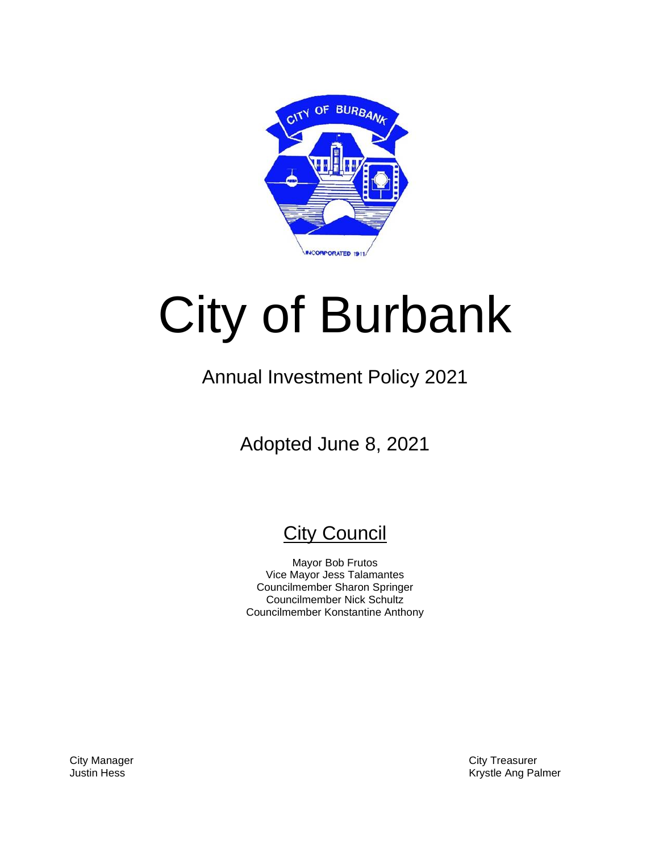

# City of Burbank

# Annual Investment Policy 2021

Adopted June 8, 2021

# **City Council**

Mayor Bob Frutos Vice Mayor Jess Talamantes Councilmember Sharon Springer Councilmember Nick Schultz Councilmember Konstantine Anthony

City Manager City Treasurer Justin Hess **Markov Angles Ang Palmer** Krystle Ang Palmer Ang Palmer Ang Palmer Ang Palmer Ang Palmer Ang Palmer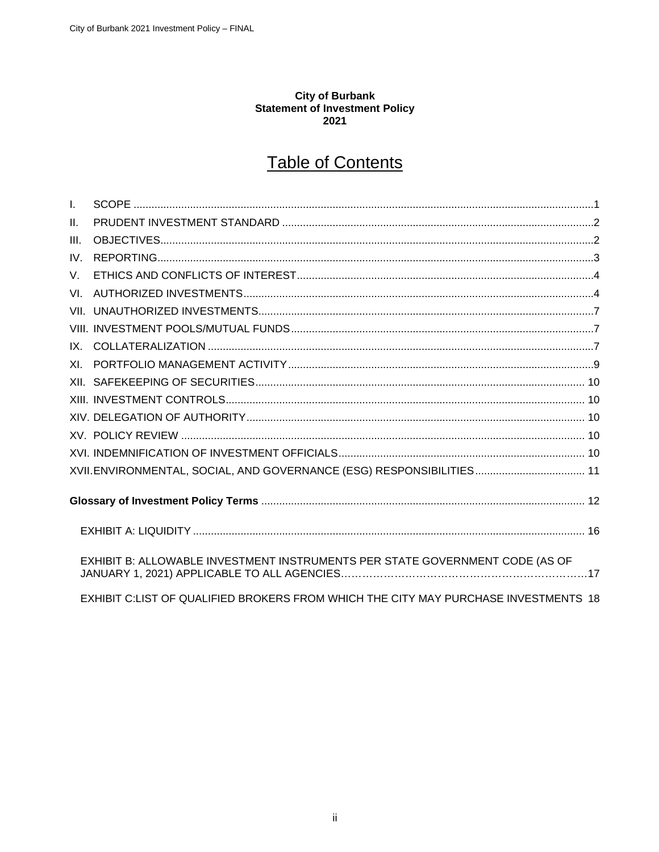## City of Burbank<br>Statement of Investment Policy 2021

# **Table of Contents**

| $\mathbf{L}$ |                                                                                     |  |  |  |
|--------------|-------------------------------------------------------------------------------------|--|--|--|
| $\Pi$ .      |                                                                                     |  |  |  |
| III.         |                                                                                     |  |  |  |
| IV.          |                                                                                     |  |  |  |
| V.           |                                                                                     |  |  |  |
| VL           |                                                                                     |  |  |  |
|              |                                                                                     |  |  |  |
|              |                                                                                     |  |  |  |
|              |                                                                                     |  |  |  |
|              |                                                                                     |  |  |  |
|              |                                                                                     |  |  |  |
|              |                                                                                     |  |  |  |
|              |                                                                                     |  |  |  |
|              |                                                                                     |  |  |  |
|              |                                                                                     |  |  |  |
|              |                                                                                     |  |  |  |
|              |                                                                                     |  |  |  |
|              |                                                                                     |  |  |  |
|              | EXHIBIT B: ALLOWABLE INVESTMENT INSTRUMENTS PER STATE GOVERNMENT CODE (AS OF        |  |  |  |
|              | EXHIBIT C:LIST OF QUALIFIED BROKERS FROM WHICH THE CITY MAY PURCHASE INVESTMENTS 18 |  |  |  |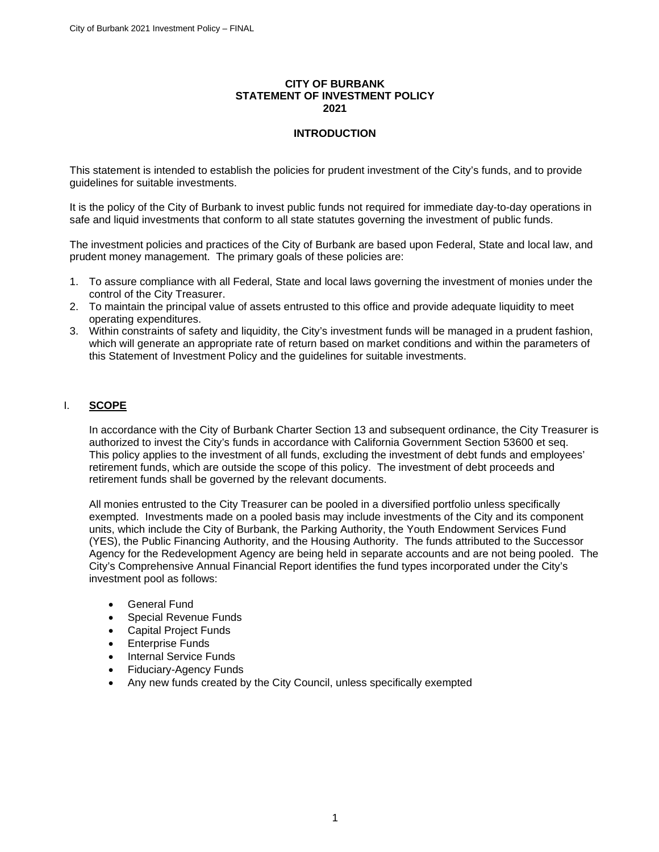#### **CITY OF BURBANK STATEMENT OF INVESTMENT POLICY 2021**

#### **INTRODUCTION**

This statement is intended to establish the policies for prudent investment of the City's funds, and to provide guidelines for suitable investments.

It is the policy of the City of Burbank to invest public funds not required for immediate day-to-day operations in safe and liquid investments that conform to all state statutes governing the investment of public funds.

The investment policies and practices of the City of Burbank are based upon Federal, State and local law, and prudent money management. The primary goals of these policies are:

- 1. To assure compliance with all Federal, State and local laws governing the investment of monies under the control of the City Treasurer.
- 2. To maintain the principal value of assets entrusted to this office and provide adequate liquidity to meet operating expenditures.
- 3. Within constraints of safety and liquidity, the City's investment funds will be managed in a prudent fashion, which will generate an appropriate rate of return based on market conditions and within the parameters of this Statement of Investment Policy and the guidelines for suitable investments.

#### <span id="page-2-0"></span>I. **SCOPE**

In accordance with the City of Burbank Charter Section 13 and subsequent ordinance, the City Treasurer is authorized to invest the City's funds in accordance with California Government Section 53600 et seq. This policy applies to the investment of all funds, excluding the investment of debt funds and employees' retirement funds, which are outside the scope of this policy. The investment of debt proceeds and retirement funds shall be governed by the relevant documents.

All monies entrusted to the City Treasurer can be pooled in a diversified portfolio unless specifically exempted. Investments made on a pooled basis may include investments of the City and its component units, which include the City of Burbank, the Parking Authority, the Youth Endowment Services Fund (YES), the Public Financing Authority, and the Housing Authority. The funds attributed to the Successor Agency for the Redevelopment Agency are being held in separate accounts and are not being pooled. The City's Comprehensive Annual Financial Report identifies the fund types incorporated under the City's investment pool as follows:

- General Fund
- Special Revenue Funds
- Capital Project Funds
- **Enterprise Funds**
- Internal Service Funds
- Fiduciary-Agency Funds
- Any new funds created by the City Council, unless specifically exempted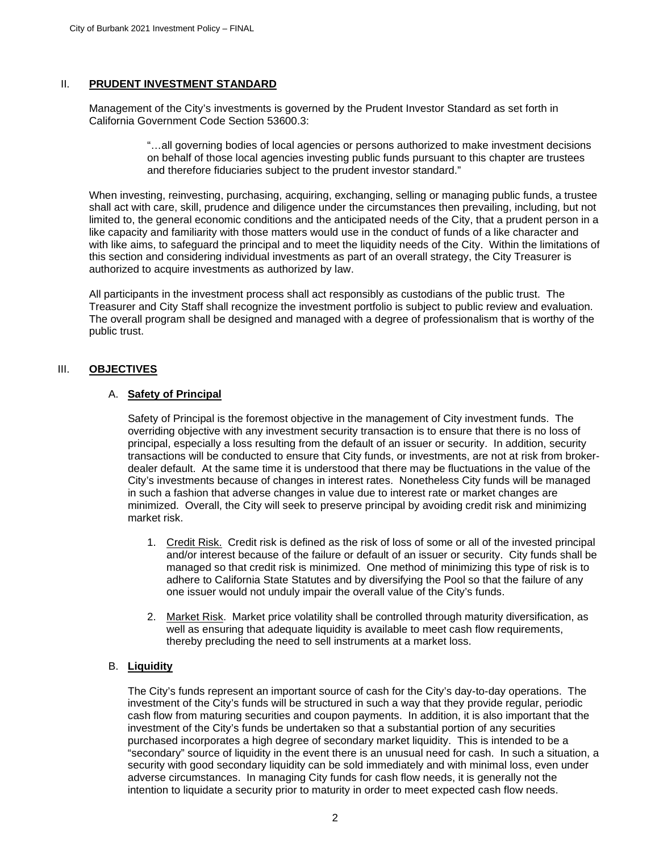#### <span id="page-3-0"></span>II. **PRUDENT INVESTMENT STANDARD**

Management of the City's investments is governed by the Prudent Investor Standard as set forth in California Government Code Section 53600.3:

> "…all governing bodies of local agencies or persons authorized to make investment decisions on behalf of those local agencies investing public funds pursuant to this chapter are trustees and therefore fiduciaries subject to the prudent investor standard."

When investing, reinvesting, purchasing, acquiring, exchanging, selling or managing public funds, a trustee shall act with care, skill, prudence and diligence under the circumstances then prevailing, including, but not limited to, the general economic conditions and the anticipated needs of the City, that a prudent person in a like capacity and familiarity with those matters would use in the conduct of funds of a like character and with like aims, to safeguard the principal and to meet the liquidity needs of the City. Within the limitations of this section and considering individual investments as part of an overall strategy, the City Treasurer is authorized to acquire investments as authorized by law.

All participants in the investment process shall act responsibly as custodians of the public trust. The Treasurer and City Staff shall recognize the investment portfolio is subject to public review and evaluation. The overall program shall be designed and managed with a degree of professionalism that is worthy of the public trust.

#### <span id="page-3-1"></span>III. **OBJECTIVES**

#### A. **Safety of Principal**

Safety of Principal is the foremost objective in the management of City investment funds. The overriding objective with any investment security transaction is to ensure that there is no loss of principal, especially a loss resulting from the default of an issuer or security. In addition, security transactions will be conducted to ensure that City funds, or investments, are not at risk from brokerdealer default. At the same time it is understood that there may be fluctuations in the value of the City's investments because of changes in interest rates. Nonetheless City funds will be managed in such a fashion that adverse changes in value due to interest rate or market changes are minimized. Overall, the City will seek to preserve principal by avoiding credit risk and minimizing market risk.

- 1. Credit Risk. Credit risk is defined as the risk of loss of some or all of the invested principal and/or interest because of the failure or default of an issuer or security. City funds shall be managed so that credit risk is minimized. One method of minimizing this type of risk is to adhere to California State Statutes and by diversifying the Pool so that the failure of any one issuer would not unduly impair the overall value of the City's funds.
- 2. Market Risk. Market price volatility shall be controlled through maturity diversification, as well as ensuring that adequate liquidity is available to meet cash flow requirements, thereby precluding the need to sell instruments at a market loss.

#### B. **Liquidity**

The City's funds represent an important source of cash for the City's day-to-day operations. The investment of the City's funds will be structured in such a way that they provide regular, periodic cash flow from maturing securities and coupon payments. In addition, it is also important that the investment of the City's funds be undertaken so that a substantial portion of any securities purchased incorporates a high degree of secondary market liquidity. This is intended to be a "secondary" source of liquidity in the event there is an unusual need for cash. In such a situation, a security with good secondary liquidity can be sold immediately and with minimal loss, even under adverse circumstances. In managing City funds for cash flow needs, it is generally not the intention to liquidate a security prior to maturity in order to meet expected cash flow needs.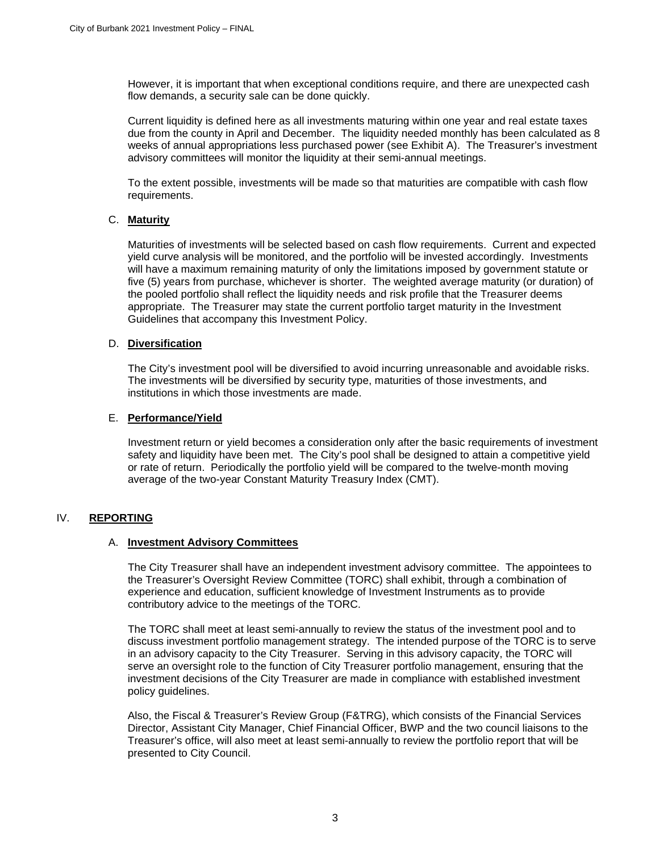However, it is important that when exceptional conditions require, and there are unexpected cash flow demands, a security sale can be done quickly.

Current liquidity is defined here as all investments maturing within one year and real estate taxes due from the county in April and December. The liquidity needed monthly has been calculated as 8 weeks of annual appropriations less purchased power (see Exhibit A). The Treasurer's investment advisory committees will monitor the liquidity at their semi-annual meetings.

To the extent possible, investments will be made so that maturities are compatible with cash flow requirements.

#### C. **Maturity**

Maturities of investments will be selected based on cash flow requirements. Current and expected yield curve analysis will be monitored, and the portfolio will be invested accordingly. Investments will have a maximum remaining maturity of only the limitations imposed by government statute or five (5) years from purchase, whichever is shorter. The weighted average maturity (or duration) of the pooled portfolio shall reflect the liquidity needs and risk profile that the Treasurer deems appropriate. The Treasurer may state the current portfolio target maturity in the Investment Guidelines that accompany this Investment Policy.

#### D. **Diversification**

The City's investment pool will be diversified to avoid incurring unreasonable and avoidable risks. The investments will be diversified by security type, maturities of those investments, and institutions in which those investments are made.

#### E. **Performance/Yield**

Investment return or yield becomes a consideration only after the basic requirements of investment safety and liquidity have been met. The City's pool shall be designed to attain a competitive yield or rate of return. Periodically the portfolio yield will be compared to the twelve-month moving average of the two-year Constant Maturity Treasury Index (CMT).

### <span id="page-4-0"></span>IV. **REPORTING**

#### A. **Investment Advisory Committees**

The City Treasurer shall have an independent investment advisory committee. The appointees to the Treasurer's Oversight Review Committee (TORC) shall exhibit, through a combination of experience and education, sufficient knowledge of Investment Instruments as to provide contributory advice to the meetings of the TORC.

The TORC shall meet at least semi-annually to review the status of the investment pool and to discuss investment portfolio management strategy. The intended purpose of the TORC is to serve in an advisory capacity to the City Treasurer. Serving in this advisory capacity, the TORC will serve an oversight role to the function of City Treasurer portfolio management, ensuring that the investment decisions of the City Treasurer are made in compliance with established investment policy guidelines.

Also, the Fiscal & Treasurer's Review Group (F&TRG), which consists of the Financial Services Director, Assistant City Manager, Chief Financial Officer, BWP and the two council liaisons to the Treasurer's office, will also meet at least semi-annually to review the portfolio report that will be presented to City Council.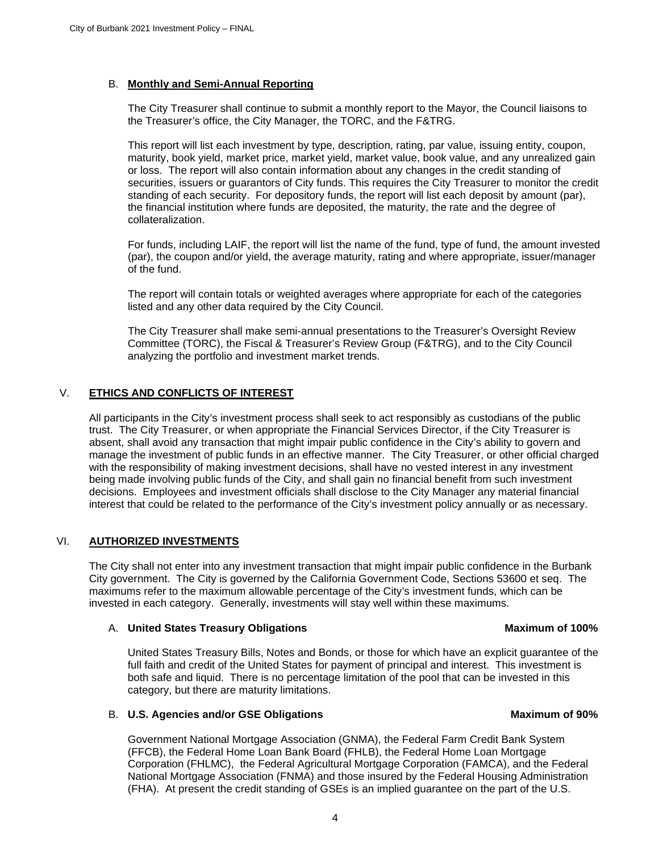#### B. **Monthly and Semi-Annual Reporting**

The City Treasurer shall continue to submit a monthly report to the Mayor, the Council liaisons to the Treasurer's office, the City Manager, the TORC, and the F&TRG.

This report will list each investment by type, description, rating, par value, issuing entity, coupon, maturity, book yield, market price, market yield, market value, book value, and any unrealized gain or loss. The report will also contain information about any changes in the credit standing of securities, issuers or guarantors of City funds. This requires the City Treasurer to monitor the credit standing of each security. For depository funds, the report will list each deposit by amount (par), the financial institution where funds are deposited, the maturity, the rate and the degree of collateralization.

For funds, including LAIF, the report will list the name of the fund, type of fund, the amount invested (par), the coupon and/or yield, the average maturity, rating and where appropriate, issuer/manager of the fund.

The report will contain totals or weighted averages where appropriate for each of the categories listed and any other data required by the City Council.

The City Treasurer shall make semi-annual presentations to the Treasurer's Oversight Review Committee (TORC), the Fiscal & Treasurer's Review Group (F&TRG), and to the City Council analyzing the portfolio and investment market trends.

#### <span id="page-5-0"></span>V. **ETHICS AND CONFLICTS OF INTEREST**

All participants in the City's investment process shall seek to act responsibly as custodians of the public trust. The City Treasurer, or when appropriate the Financial Services Director, if the City Treasurer is absent, shall avoid any transaction that might impair public confidence in the City's ability to govern and manage the investment of public funds in an effective manner. The City Treasurer, or other official charged with the responsibility of making investment decisions, shall have no vested interest in any investment being made involving public funds of the City, and shall gain no financial benefit from such investment decisions. Employees and investment officials shall disclose to the City Manager any material financial interest that could be related to the performance of the City's investment policy annually or as necessary.

#### <span id="page-5-1"></span>VI. **AUTHORIZED INVESTMENTS**

The City shall not enter into any investment transaction that might impair public confidence in the Burbank City government. The City is governed by the California Government Code, Sections 53600 et seq. The maximums refer to the maximum allowable percentage of the City's investment funds, which can be invested in each category. Generally, investments will stay well within these maximums.

#### A. United States Treasury Obligations **Maximum of 100%** and the Maximum of 100%

United States Treasury Bills, Notes and Bonds, or those for which have an explicit guarantee of the full faith and credit of the United States for payment of principal and interest. This investment is both safe and liquid. There is no percentage limitation of the pool that can be invested in this category, but there are maturity limitations.

#### B. **U.S. Agencies and/or GSE Obligations Maximum of 90%**

Government National Mortgage Association (GNMA), the Federal Farm Credit Bank System (FFCB), the Federal Home Loan Bank Board (FHLB), the Federal Home Loan Mortgage Corporation (FHLMC), the Federal Agricultural Mortgage Corporation (FAMCA), and the Federal National Mortgage Association (FNMA) and those insured by the Federal Housing Administration (FHA). At present the credit standing of GSEs is an implied guarantee on the part of the U.S.

#### 4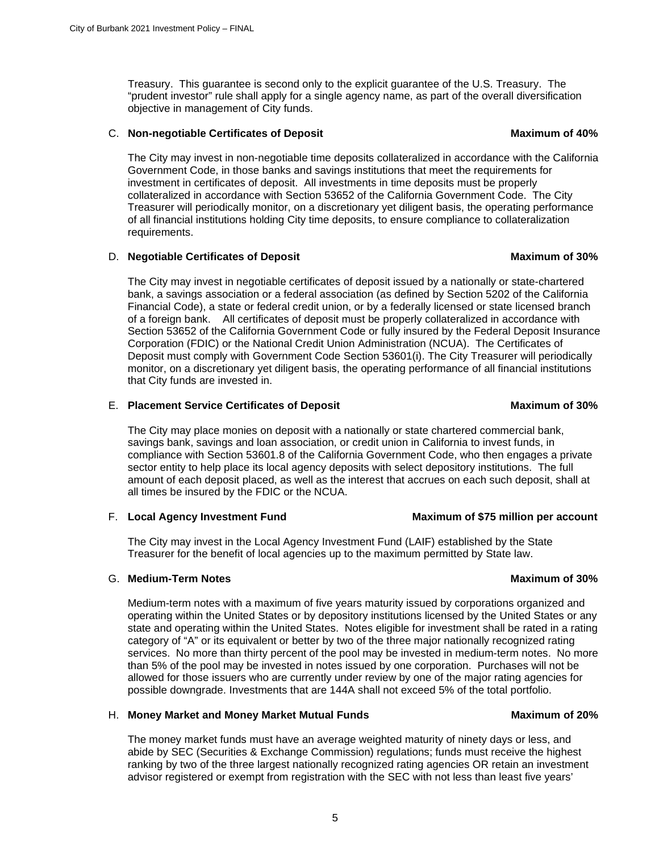Treasury. This guarantee is second only to the explicit guarantee of the U.S. Treasury. The "prudent investor" rule shall apply for a single agency name, as part of the overall diversification objective in management of City funds.

### C. **Non-negotiable Certificates of Deposit Maximum of 40%**

The City may invest in non-negotiable time deposits collateralized in accordance with the California Government Code, in those banks and savings institutions that meet the requirements for investment in certificates of deposit. All investments in time deposits must be properly collateralized in accordance with Section 53652 of the California Government Code. The City Treasurer will periodically monitor, on a discretionary yet diligent basis, the operating performance of all financial institutions holding City time deposits, to ensure compliance to collateralization requirements.

### D. **Negotiable Certificates of Deposit Maximum of 30%**

The City may invest in negotiable certificates of deposit issued by a nationally or state-chartered bank, a savings association or a federal association (as defined by Section 5202 of the California Financial Code), a state or federal credit union, or by a federally licensed or state licensed branch of a foreign bank. All certificates of deposit must be properly collateralized in accordance with Section 53652 of the California Government Code or fully insured by the Federal Deposit Insurance Corporation (FDIC) or the National Credit Union Administration (NCUA). The Certificates of Deposit must comply with Government Code Section 53601(i). The City Treasurer will periodically monitor, on a discretionary yet diligent basis, the operating performance of all financial institutions that City funds are invested in.

### E. Placement Service Certificates of Deposit **Maximum of 30%**

The City may place monies on deposit with a nationally or state chartered commercial bank, savings bank, savings and loan association, or credit union in California to invest funds, in compliance with Section 53601.8 of the California Government Code, who then engages a private sector entity to help place its local agency deposits with select depository institutions. The full amount of each deposit placed, as well as the interest that accrues on each such deposit, shall at all times be insured by the FDIC or the NCUA.

### F. **Local Agency Investment Fund Maximum of \$75 million per account**

The City may invest in the Local Agency Investment Fund (LAIF) established by the State Treasurer for the benefit of local agencies up to the maximum permitted by State law.

### G. Medium-Term Notes **Maximum of 30%**

Medium-term notes with a maximum of five years maturity issued by corporations organized and operating within the United States or by depository institutions licensed by the United States or any state and operating within the United States. Notes eligible for investment shall be rated in a rating category of "A" or its equivalent or better by two of the three major nationally recognized rating services. No more than thirty percent of the pool may be invested in medium-term notes. No more than 5% of the pool may be invested in notes issued by one corporation. Purchases will not be allowed for those issuers who are currently under review by one of the major rating agencies for possible downgrade. Investments that are 144A shall not exceed 5% of the total portfolio.

### H. **Money Market and Money Market Mutual Funds Maximum of 20%**

The money market funds must have an average weighted maturity of ninety days or less, and abide by SEC (Securities & Exchange Commission) regulations; funds must receive the highest ranking by two of the three largest nationally recognized rating agencies OR retain an investment advisor registered or exempt from registration with the SEC with not less than least five years'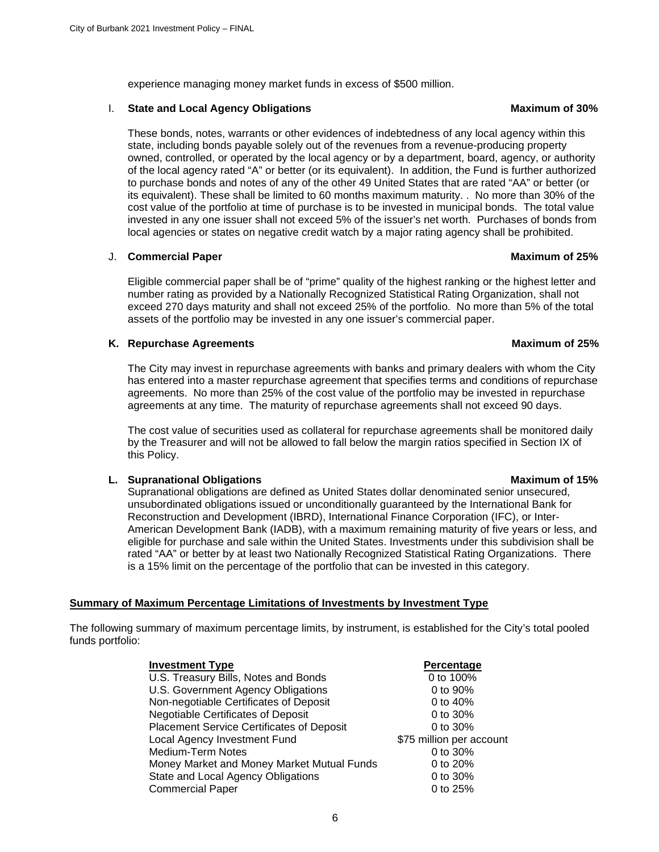experience managing money market funds in excess of \$500 million.

#### **I.** State and Local Agency Obligations Maximum of 30%

These bonds, notes, warrants or other evidences of indebtedness of any local agency within this state, including bonds payable solely out of the revenues from a revenue-producing property owned, controlled, or operated by the local agency or by a department, board, agency, or authority of the local agency rated "A" or better (or its equivalent). In addition, the Fund is further authorized to purchase bonds and notes of any of the other 49 United States that are rated "AA" or better (or its equivalent). These shall be limited to 60 months maximum maturity. . No more than 30% of the cost value of the portfolio at time of purchase is to be invested in municipal bonds. The total value invested in any one issuer shall not exceed 5% of the issuer's net worth. Purchases of bonds from local agencies or states on negative credit watch by a major rating agency shall be prohibited.

#### J. **Commercial Paper Maximum of 25%**

Eligible commercial paper shall be of "prime" quality of the highest ranking or the highest letter and number rating as provided by a Nationally Recognized Statistical Rating Organization, shall not exceed 270 days maturity and shall not exceed 25% of the portfolio. No more than 5% of the total assets of the portfolio may be invested in any one issuer's commercial paper.

#### **K.** Repurchase Agreements **Maximum of 25%** and the Maximum of 25%

The City may invest in repurchase agreements with banks and primary dealers with whom the City has entered into a master repurchase agreement that specifies terms and conditions of repurchase agreements. No more than 25% of the cost value of the portfolio may be invested in repurchase agreements at any time. The maturity of repurchase agreements shall not exceed 90 days.

The cost value of securities used as collateral for repurchase agreements shall be monitored daily by the Treasurer and will not be allowed to fall below the margin ratios specified in Section IX of this Policy.

#### **L. Supranational Obligations Maximum of 15%**

Supranational obligations are defined as United States dollar denominated senior unsecured, unsubordinated obligations issued or unconditionally guaranteed by the International Bank for Reconstruction and Development (IBRD), International Finance Corporation (IFC), or Inter-American Development Bank (IADB), with a maximum remaining maturity of five years or less, and eligible for purchase and sale within the United States. Investments under this subdivision shall be rated "AA" or better by at least two Nationally Recognized Statistical Rating Organizations. There is a 15% limit on the percentage of the portfolio that can be invested in this category.

#### **Summary of Maximum Percentage Limitations of Investments by Investment Type**

The following summary of maximum percentage limits, by instrument, is established for the City's total pooled funds portfolio:

| <b>Investment Type</b>                     | Percentage               |
|--------------------------------------------|--------------------------|
| U.S. Treasury Bills, Notes and Bonds       | 0 to 100%                |
| U.S. Government Agency Obligations         | 0 to 90%                 |
| Non-negotiable Certificates of Deposit     | 0 to 40%                 |
| <b>Negotiable Certificates of Deposit</b>  | 0 to 30%                 |
| Placement Service Certificates of Deposit  | 0 to 30%                 |
| Local Agency Investment Fund               | \$75 million per account |
| <b>Medium-Term Notes</b>                   | 0 to 30%                 |
| Money Market and Money Market Mutual Funds | 0 to 20%                 |
| State and Local Agency Obligations         | 0 to 30%                 |
| <b>Commercial Paper</b>                    | 0 to 25%                 |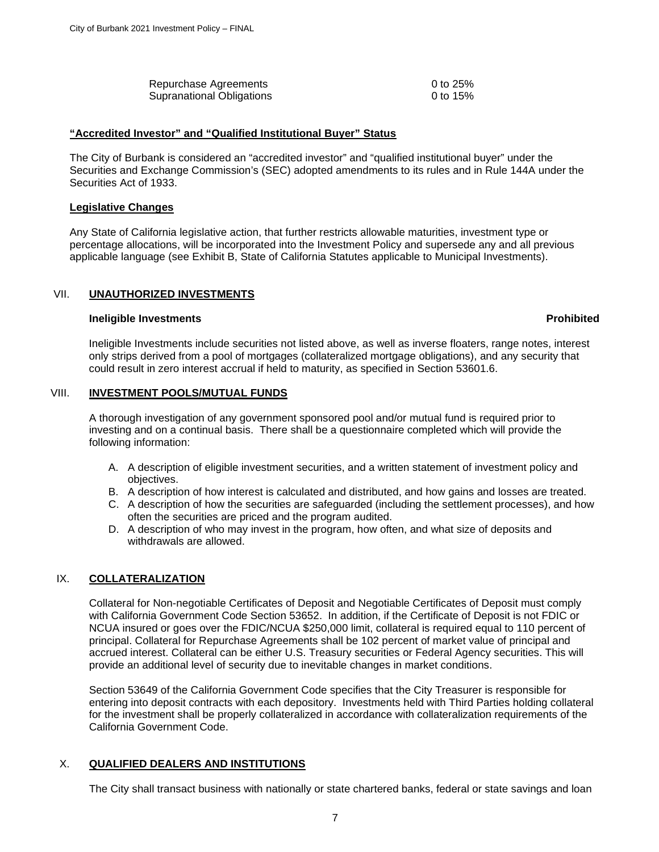| Repurchase Agreements     | 0 to 25% |
|---------------------------|----------|
| Supranational Obligations | 0 to 15% |

#### **"Accredited Investor" and "Qualified Institutional Buyer" Status**

The City of Burbank is considered an "accredited investor" and "qualified institutional buyer" under the Securities and Exchange Commission's (SEC) adopted amendments to its rules and in Rule 144A under the Securities Act of 1933.

#### **Legislative Changes**

Any State of California legislative action, that further restricts allowable maturities, investment type or percentage allocations, will be incorporated into the Investment Policy and supersede any and all previous applicable language (see Exhibit B, State of California Statutes applicable to Municipal Investments).

#### <span id="page-8-0"></span>VII. **UNAUTHORIZED INVESTMENTS**

#### **Ineligible Investments Prohibited**

Ineligible Investments include securities not listed above, as well as inverse floaters, range notes, interest only strips derived from a pool of mortgages (collateralized mortgage obligations), and any security that could result in zero interest accrual if held to maturity, as specified in Section 53601.6.

#### <span id="page-8-1"></span>VIII. **INVESTMENT POOLS/MUTUAL FUNDS**

A thorough investigation of any government sponsored pool and/or mutual fund is required prior to investing and on a continual basis. There shall be a questionnaire completed which will provide the following information:

- A. A description of eligible investment securities, and a written statement of investment policy and objectives.
- B. A description of how interest is calculated and distributed, and how gains and losses are treated.
- C. A description of how the securities are safeguarded (including the settlement processes), and how often the securities are priced and the program audited.
- D. A description of who may invest in the program, how often, and what size of deposits and withdrawals are allowed.

#### <span id="page-8-2"></span>IX. **COLLATERALIZATION**

Collateral for Non-negotiable Certificates of Deposit and Negotiable Certificates of Deposit must comply with California Government Code Section 53652. In addition, if the Certificate of Deposit is not FDIC or NCUA insured or goes over the FDIC/NCUA \$250,000 limit, collateral is required equal to 110 percent of principal. Collateral for Repurchase Agreements shall be 102 percent of market value of principal and accrued interest. Collateral can be either U.S. Treasury securities or Federal Agency securities. This will provide an additional level of security due to inevitable changes in market conditions.

Section 53649 of the California Government Code specifies that the City Treasurer is responsible for entering into deposit contracts with each depository. Investments held with Third Parties holding collateral for the investment shall be properly collateralized in accordance with collateralization requirements of the California Government Code.

#### X. **QUALIFIED DEALERS AND INSTITUTIONS**

The City shall transact business with nationally or state chartered banks, federal or state savings and loan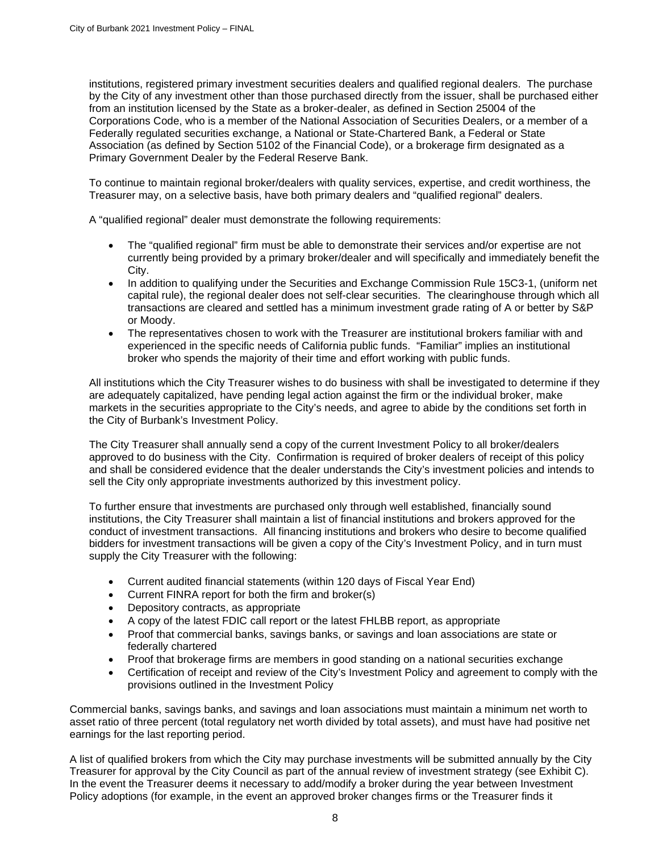institutions, registered primary investment securities dealers and qualified regional dealers. The purchase by the City of any investment other than those purchased directly from the issuer, shall be purchased either from an institution licensed by the State as a broker-dealer, as defined in Section 25004 of the Corporations Code, who is a member of the National Association of Securities Dealers, or a member of a Federally regulated securities exchange, a National or State-Chartered Bank, a Federal or State Association (as defined by Section 5102 of the Financial Code), or a brokerage firm designated as a Primary Government Dealer by the Federal Reserve Bank.

To continue to maintain regional broker/dealers with quality services, expertise, and credit worthiness, the Treasurer may, on a selective basis, have both primary dealers and "qualified regional" dealers.

A "qualified regional" dealer must demonstrate the following requirements:

- The "qualified regional" firm must be able to demonstrate their services and/or expertise are not currently being provided by a primary broker/dealer and will specifically and immediately benefit the City.
- In addition to qualifying under the Securities and Exchange Commission Rule 15C3-1, (uniform net capital rule), the regional dealer does not self-clear securities. The clearinghouse through which all transactions are cleared and settled has a minimum investment grade rating of A or better by S&P or Moody.
- The representatives chosen to work with the Treasurer are institutional brokers familiar with and experienced in the specific needs of California public funds. "Familiar" implies an institutional broker who spends the majority of their time and effort working with public funds.

All institutions which the City Treasurer wishes to do business with shall be investigated to determine if they are adequately capitalized, have pending legal action against the firm or the individual broker, make markets in the securities appropriate to the City's needs, and agree to abide by the conditions set forth in the City of Burbank's Investment Policy.

The City Treasurer shall annually send a copy of the current Investment Policy to all broker/dealers approved to do business with the City. Confirmation is required of broker dealers of receipt of this policy and shall be considered evidence that the dealer understands the City's investment policies and intends to sell the City only appropriate investments authorized by this investment policy.

To further ensure that investments are purchased only through well established, financially sound institutions, the City Treasurer shall maintain a list of financial institutions and brokers approved for the conduct of investment transactions. All financing institutions and brokers who desire to become qualified bidders for investment transactions will be given a copy of the City's Investment Policy, and in turn must supply the City Treasurer with the following:

- Current audited financial statements (within 120 days of Fiscal Year End)
- Current FINRA report for both the firm and broker(s)
- Depository contracts, as appropriate
- A copy of the latest FDIC call report or the latest FHLBB report, as appropriate
- Proof that commercial banks, savings banks, or savings and loan associations are state or federally chartered
- Proof that brokerage firms are members in good standing on a national securities exchange
- Certification of receipt and review of the City's Investment Policy and agreement to comply with the provisions outlined in the Investment Policy

Commercial banks, savings banks, and savings and loan associations must maintain a minimum net worth to asset ratio of three percent (total regulatory net worth divided by total assets), and must have had positive net earnings for the last reporting period.

A list of qualified brokers from which the City may purchase investments will be submitted annually by the City Treasurer for approval by the City Council as part of the annual review of investment strategy (see Exhibit C). In the event the Treasurer deems it necessary to add/modify a broker during the year between Investment Policy adoptions (for example, in the event an approved broker changes firms or the Treasurer finds it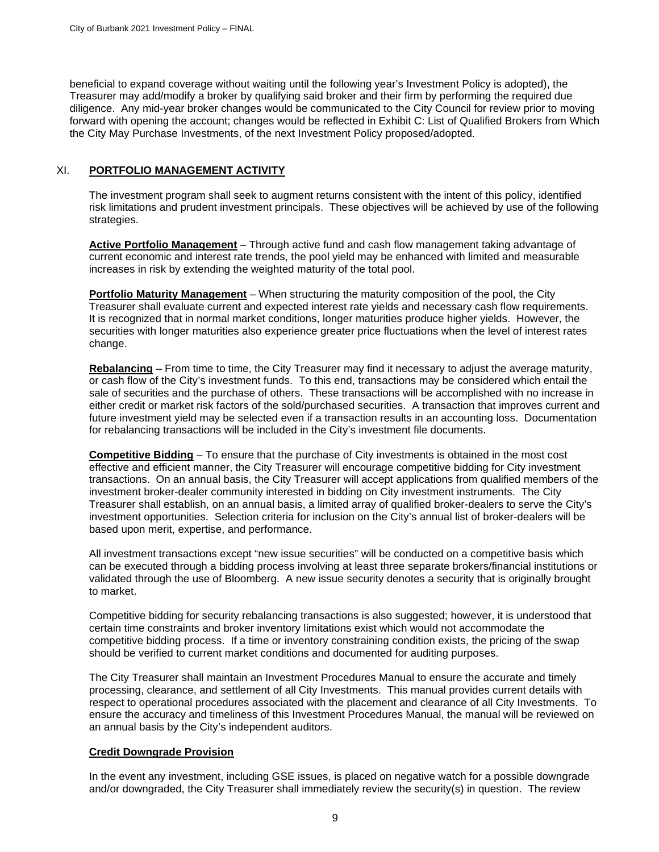beneficial to expand coverage without waiting until the following year's Investment Policy is adopted), the Treasurer may add/modify a broker by qualifying said broker and their firm by performing the required due diligence. Any mid-year broker changes would be communicated to the City Council for review prior to moving forward with opening the account; changes would be reflected in Exhibit C: List of Qualified Brokers from Which the City May Purchase Investments, of the next Investment Policy proposed/adopted.

#### <span id="page-10-0"></span>XI. **PORTFOLIO MANAGEMENT ACTIVITY**

The investment program shall seek to augment returns consistent with the intent of this policy, identified risk limitations and prudent investment principals. These objectives will be achieved by use of the following strategies.

**Active Portfolio Management** – Through active fund and cash flow management taking advantage of current economic and interest rate trends, the pool yield may be enhanced with limited and measurable increases in risk by extending the weighted maturity of the total pool.

**Portfolio Maturity Management** – When structuring the maturity composition of the pool, the City Treasurer shall evaluate current and expected interest rate yields and necessary cash flow requirements. It is recognized that in normal market conditions, longer maturities produce higher yields. However, the securities with longer maturities also experience greater price fluctuations when the level of interest rates change.

**Rebalancing** – From time to time, the City Treasurer may find it necessary to adjust the average maturity, or cash flow of the City's investment funds. To this end, transactions may be considered which entail the sale of securities and the purchase of others. These transactions will be accomplished with no increase in either credit or market risk factors of the sold/purchased securities. A transaction that improves current and future investment yield may be selected even if a transaction results in an accounting loss. Documentation for rebalancing transactions will be included in the City's investment file documents.

**Competitive Bidding** – To ensure that the purchase of City investments is obtained in the most cost effective and efficient manner, the City Treasurer will encourage competitive bidding for City investment transactions. On an annual basis, the City Treasurer will accept applications from qualified members of the investment broker-dealer community interested in bidding on City investment instruments. The City Treasurer shall establish, on an annual basis, a limited array of qualified broker-dealers to serve the City's investment opportunities. Selection criteria for inclusion on the City's annual list of broker-dealers will be based upon merit, expertise, and performance.

All investment transactions except "new issue securities" will be conducted on a competitive basis which can be executed through a bidding process involving at least three separate brokers/financial institutions or validated through the use of Bloomberg. A new issue security denotes a security that is originally brought to market.

Competitive bidding for security rebalancing transactions is also suggested; however, it is understood that certain time constraints and broker inventory limitations exist which would not accommodate the competitive bidding process. If a time or inventory constraining condition exists, the pricing of the swap should be verified to current market conditions and documented for auditing purposes.

The City Treasurer shall maintain an Investment Procedures Manual to ensure the accurate and timely processing, clearance, and settlement of all City Investments. This manual provides current details with respect to operational procedures associated with the placement and clearance of all City Investments. To ensure the accuracy and timeliness of this Investment Procedures Manual, the manual will be reviewed on an annual basis by the City's independent auditors.

#### **Credit Downgrade Provision**

In the event any investment, including GSE issues, is placed on negative watch for a possible downgrade and/or downgraded, the City Treasurer shall immediately review the security(s) in question. The review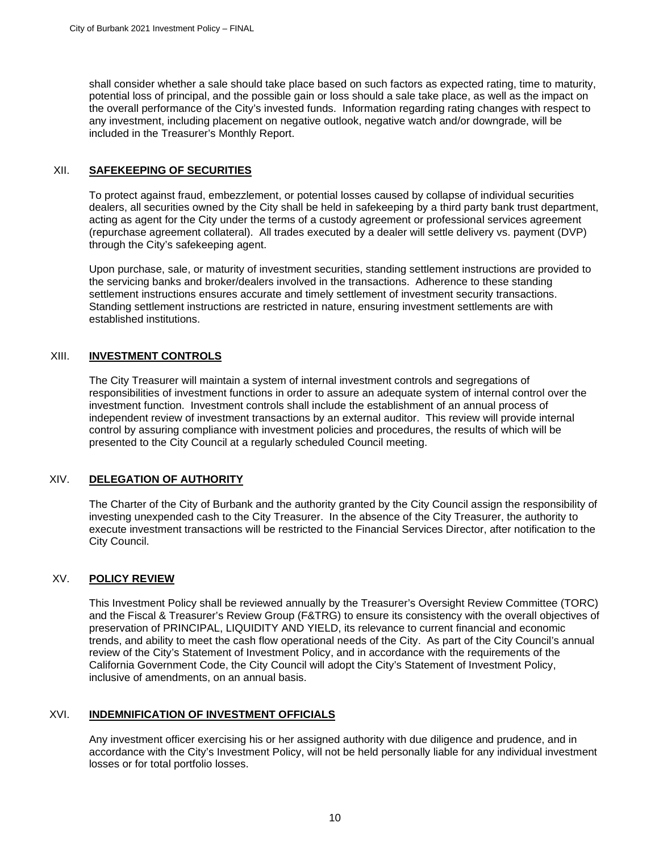shall consider whether a sale should take place based on such factors as expected rating, time to maturity, potential loss of principal, and the possible gain or loss should a sale take place, as well as the impact on the overall performance of the City's invested funds. Information regarding rating changes with respect to any investment, including placement on negative outlook, negative watch and/or downgrade, will be included in the Treasurer's Monthly Report.

#### <span id="page-11-0"></span>XII. **SAFEKEEPING OF SECURITIES**

To protect against fraud, embezzlement, or potential losses caused by collapse of individual securities dealers, all securities owned by the City shall be held in safekeeping by a third party bank trust department, acting as agent for the City under the terms of a custody agreement or professional services agreement (repurchase agreement collateral). All trades executed by a dealer will settle delivery vs. payment (DVP) through the City's safekeeping agent.

Upon purchase, sale, or maturity of investment securities, standing settlement instructions are provided to the servicing banks and broker/dealers involved in the transactions. Adherence to these standing settlement instructions ensures accurate and timely settlement of investment security transactions. Standing settlement instructions are restricted in nature, ensuring investment settlements are with established institutions.

### <span id="page-11-1"></span>XIII. **INVESTMENT CONTROLS**

The City Treasurer will maintain a system of internal investment controls and segregations of responsibilities of investment functions in order to assure an adequate system of internal control over the investment function. Investment controls shall include the establishment of an annual process of independent review of investment transactions by an external auditor. This review will provide internal control by assuring compliance with investment policies and procedures, the results of which will be presented to the City Council at a regularly scheduled Council meeting.

### <span id="page-11-2"></span>XIV. **DELEGATION OF AUTHORITY**

The Charter of the City of Burbank and the authority granted by the City Council assign the responsibility of investing unexpended cash to the City Treasurer. In the absence of the City Treasurer, the authority to execute investment transactions will be restricted to the Financial Services Director, after notification to the City Council.

#### <span id="page-11-3"></span>XV. **POLICY REVIEW**

This Investment Policy shall be reviewed annually by the Treasurer's Oversight Review Committee (TORC) and the Fiscal & Treasurer's Review Group (F&TRG) to ensure its consistency with the overall objectives of preservation of PRINCIPAL, LIQUIDITY AND YIELD, its relevance to current financial and economic trends, and ability to meet the cash flow operational needs of the City. As part of the City Council's annual review of the City's Statement of Investment Policy, and in accordance with the requirements of the California Government Code, the City Council will adopt the City's Statement of Investment Policy, inclusive of amendments, on an annual basis.

#### <span id="page-11-4"></span>XVI. **INDEMNIFICATION OF INVESTMENT OFFICIALS**

Any investment officer exercising his or her assigned authority with due diligence and prudence, and in accordance with the City's Investment Policy, will not be held personally liable for any individual investment losses or for total portfolio losses.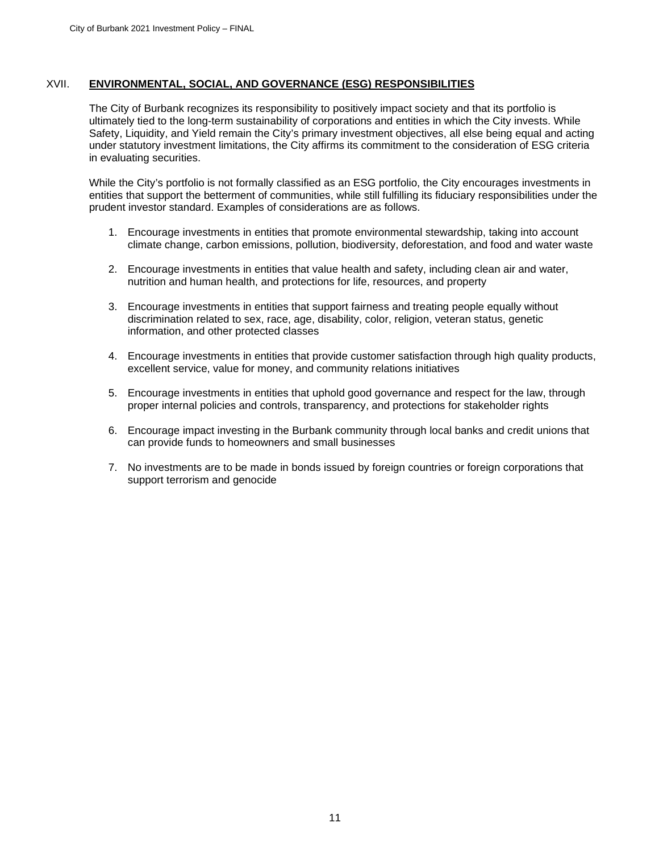#### <span id="page-12-0"></span>XVII. **ENVIRONMENTAL, SOCIAL, AND GOVERNANCE (ESG) RESPONSIBILITIES**

The City of Burbank recognizes its responsibility to positively impact society and that its portfolio is ultimately tied to the long-term sustainability of corporations and entities in which the City invests. While Safety, Liquidity, and Yield remain the City's primary investment objectives, all else being equal and acting under statutory investment limitations, the City affirms its commitment to the consideration of ESG criteria in evaluating securities.

While the City's portfolio is not formally classified as an ESG portfolio, the City encourages investments in entities that support the betterment of communities, while still fulfilling its fiduciary responsibilities under the prudent investor standard. Examples of considerations are as follows.

- 1. Encourage investments in entities that promote environmental stewardship, taking into account climate change, carbon emissions, pollution, biodiversity, deforestation, and food and water waste
- 2. Encourage investments in entities that value health and safety, including clean air and water, nutrition and human health, and protections for life, resources, and property
- 3. Encourage investments in entities that support fairness and treating people equally without discrimination related to sex, race, age, disability, color, religion, veteran status, genetic information, and other protected classes
- 4. Encourage investments in entities that provide customer satisfaction through high quality products, excellent service, value for money, and community relations initiatives
- 5. Encourage investments in entities that uphold good governance and respect for the law, through proper internal policies and controls, transparency, and protections for stakeholder rights
- 6. Encourage impact investing in the Burbank community through local banks and credit unions that can provide funds to homeowners and small businesses
- 7. No investments are to be made in bonds issued by foreign countries or foreign corporations that support terrorism and genocide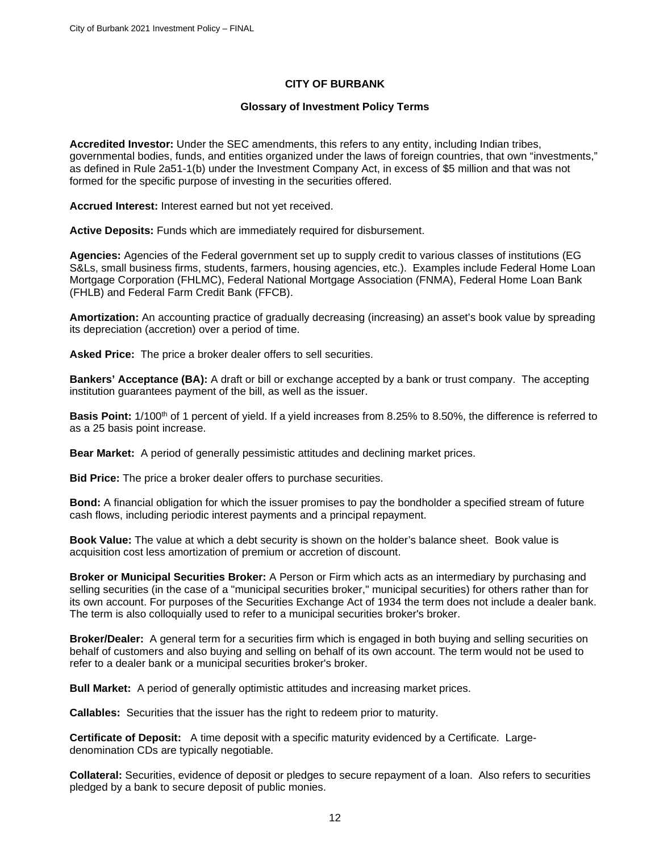#### **CITY OF BURBANK**

#### **Glossary of Investment Policy Terms**

<span id="page-13-0"></span>**Accredited Investor:** Under the SEC amendments, this refers to any entity, including Indian tribes, governmental bodies, funds, and entities organized under the laws of foreign countries, that own "investments," as defined in Rule 2a51-1(b) under the Investment Company Act, in excess of \$5 million and that was not formed for the specific purpose of investing in the securities offered.

**Accrued Interest:** Interest earned but not yet received.

**Active Deposits:** Funds which are immediately required for disbursement.

**Agencies:** Agencies of the Federal government set up to supply credit to various classes of institutions (EG S&Ls, small business firms, students, farmers, housing agencies, etc.). Examples include Federal Home Loan Mortgage Corporation (FHLMC), Federal National Mortgage Association (FNMA), Federal Home Loan Bank (FHLB) and Federal Farm Credit Bank (FFCB).

**Amortization:** An accounting practice of gradually decreasing (increasing) an asset's book value by spreading its depreciation (accretion) over a period of time.

**Asked Price:** The price a broker dealer offers to sell securities.

**Bankers' Acceptance (BA):** A draft or bill or exchange accepted by a bank or trust company. The accepting institution guarantees payment of the bill, as well as the issuer.

**Basis Point:** 1/100th of 1 percent of yield. If a yield increases from 8.25% to 8.50%, the difference is referred to as a 25 basis point increase.

**Bear Market:** A period of generally pessimistic attitudes and declining market prices.

**Bid Price:** The price a broker dealer offers to purchase securities.

**Bond:** A financial obligation for which the issuer promises to pay the bondholder a specified stream of future cash flows, including periodic interest payments and a principal repayment.

**Book Value:** The value at which a debt security is shown on the holder's balance sheet. Book value is acquisition cost less amortization of premium or accretion of discount.

**Broker or Municipal Securities Broker:** A Person or Firm which acts as an intermediary by purchasing and selling securities (in the case of a "municipal securities broker," municipal securities) for others rather than for its own account. For purposes of the Securities Exchange Act of 1934 the term does not include a dealer bank. The term is also colloquially used to refer to a municipal securities broker's broker.

**Broker/Dealer:** A general term for a securities firm which is engaged in both buying and selling securities on behalf of customers and also buying and selling on behalf of its own account. The term would not be used to refer to a dealer bank or a municipal securities broker's broker.

**Bull Market:** A period of generally optimistic attitudes and increasing market prices.

**Callables:** Securities that the issuer has the right to redeem prior to maturity.

**Certificate of Deposit:** A time deposit with a specific maturity evidenced by a Certificate. Largedenomination CDs are typically negotiable.

**Collateral:** Securities, evidence of deposit or pledges to secure repayment of a loan. Also refers to securities pledged by a bank to secure deposit of public monies.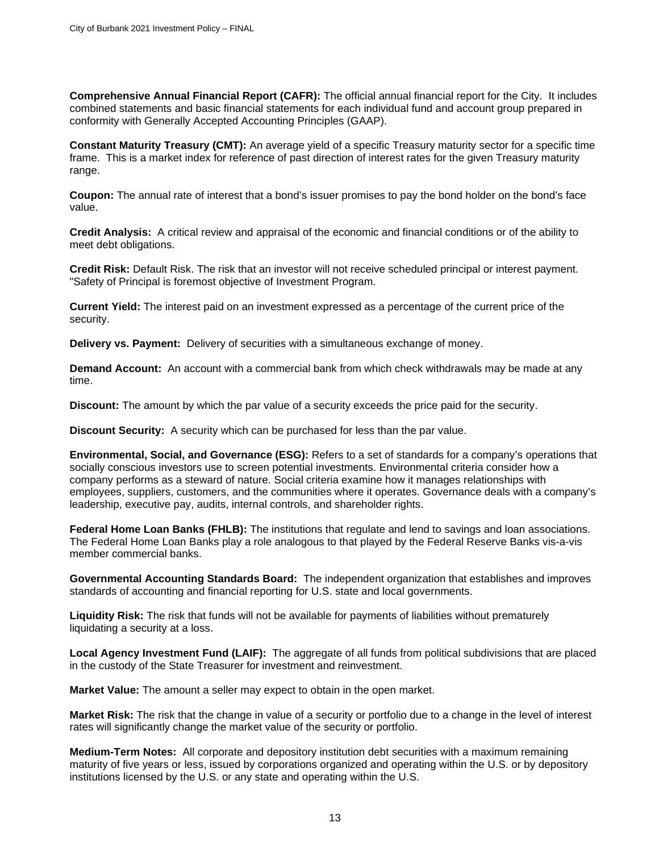**Comprehensive Annual Financial Report (CAFR):** The official annual financial report for the City. It includes combined statements and basic financial statements for each individual fund and account group prepared in conformity with Generally Accepted Accounting Principles (GAAP).

**Constant Maturity Treasury (CMT):** An average yield of a specific Treasury maturity sector for a specific time frame. This is a market index for reference of past direction of interest rates for the given Treasury maturity range.

**Coupon:** The annual rate of interest that a bond's issuer promises to pay the bond holder on the bond's face value.

**Credit Analysis:** A critical review and appraisal of the economic and financial conditions or of the ability to meet debt obligations.

**Credit Risk:** Default Risk. The risk that an investor will not receive scheduled principal or interest payment. "Safety of Principal is foremost objective of Investment Program.

**Current Yield:** The interest paid on an investment expressed as a percentage of the current price of the security.

**Delivery vs. Payment:** Delivery of securities with a simultaneous exchange of money.

**Demand Account:** An account with a commercial bank from which check withdrawals may be made at any time.

**Discount:** The amount by which the par value of a security exceeds the price paid for the security.

**Discount Security:** A security which can be purchased for less than the par value.

**Environmental, Social, and Governance (ESG):** Refers to a set of standards for a company's operations that socially conscious investors use to screen potential investments. Environmental criteria consider how a company performs as a steward of nature. Social criteria examine how it manages relationships with employees, suppliers, customers, and the communities where it operates. Governance deals with a company's leadership, executive pay, audits, internal controls, and shareholder rights.

**Federal Home Loan Banks (FHLB):** The institutions that regulate and lend to savings and loan associations. The Federal Home Loan Banks play a role analogous to that played by the Federal Reserve Banks vis-a-vis member commercial banks.

**Governmental Accounting Standards Board:** The independent organization that establishes and improves standards of accounting and financial reporting for U.S. state and local governments.

**Liquidity Risk:** The risk that funds will not be available for payments of liabilities without prematurely liquidating a security at a loss.

**Local Agency Investment Fund (LAIF):** The aggregate of all funds from political subdivisions that are placed in the custody of the State Treasurer for investment and reinvestment.

**Market Value:** The amount a seller may expect to obtain in the open market.

**Market Risk:** The risk that the change in value of a security or portfolio due to a change in the level of interest rates will significantly change the market value of the security or portfolio.

**Medium-Term Notes:** All corporate and depository institution debt securities with a maximum remaining maturity of five years or less, issued by corporations organized and operating within the U.S. or by depository institutions licensed by the U.S. or any state and operating within the U.S.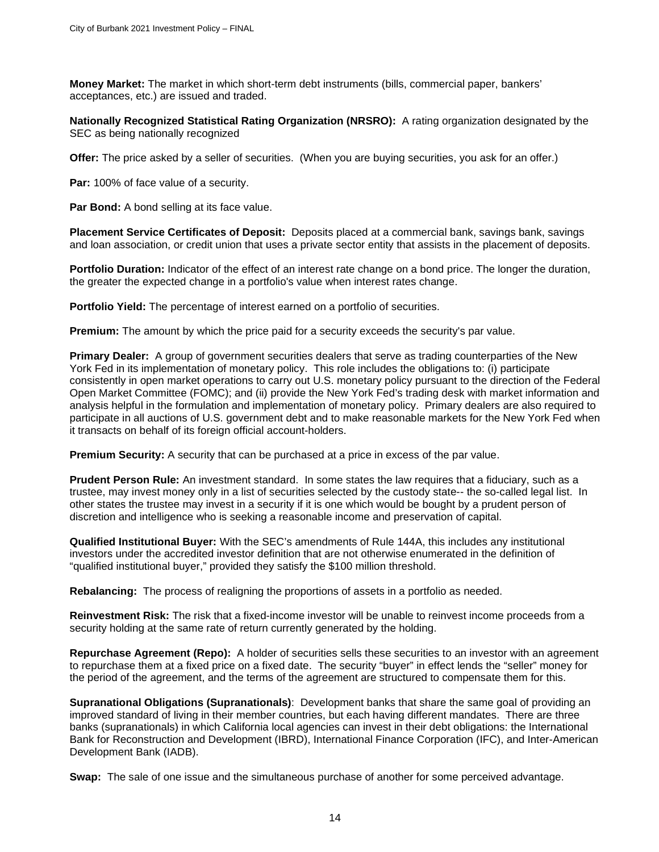**Money Market:** The market in which short-term debt instruments (bills, commercial paper, bankers' acceptances, etc.) are issued and traded.

**Nationally Recognized Statistical Rating Organization (NRSRO):** A rating organization designated by the SEC as being nationally recognized

**Offer:** The price asked by a seller of securities. (When you are buying securities, you ask for an offer.)

**Par:** 100% of face value of a security.

**Par Bond:** A bond selling at its face value.

**Placement Service Certificates of Deposit:** Deposits placed at a commercial bank, savings bank, savings and loan association, or credit union that uses a private sector entity that assists in the placement of deposits.

**Portfolio Duration:** Indicator of the effect of an interest rate change on a bond price. The longer the duration, the greater the expected change in a portfolio's value when interest rates change.

**Portfolio Yield:** The percentage of interest earned on a portfolio of securities.

**Premium:** The amount by which the price paid for a security exceeds the security's par value.

**Primary Dealer:** A group of government securities dealers that serve as trading counterparties of the New York Fed in its implementation of monetary policy. This role includes the obligations to: (i) participate consistently in open market operations to carry out U.S. monetary policy pursuant to the direction of the Federal Open Market Committee (FOMC); and (ii) provide the New York Fed's trading desk with market information and analysis helpful in the formulation and implementation of monetary policy. Primary dealers are also required to participate in all auctions of U.S. government debt and to make reasonable markets for the New York Fed when it transacts on behalf of its foreign official account-holders.

**Premium Security:** A security that can be purchased at a price in excess of the par value.

**Prudent Person Rule:** An investment standard. In some states the law requires that a fiduciary, such as a trustee, may invest money only in a list of securities selected by the custody state-- the so-called legal list. In other states the trustee may invest in a security if it is one which would be bought by a prudent person of discretion and intelligence who is seeking a reasonable income and preservation of capital.

**Qualified Institutional Buyer:** With the SEC's amendments of Rule 144A, this includes any institutional investors under the accredited investor definition that are not otherwise enumerated in the definition of "qualified institutional buyer," provided they satisfy the \$100 million threshold.

**Rebalancing:** The process of realigning the proportions of assets in a portfolio as needed.

**Reinvestment Risk:** The risk that a fixed-income investor will be unable to reinvest income proceeds from a security holding at the same rate of return currently generated by the holding.

**Repurchase Agreement (Repo):** A holder of securities sells these securities to an investor with an agreement to repurchase them at a fixed price on a fixed date. The security "buyer" in effect lends the "seller" money for the period of the agreement, and the terms of the agreement are structured to compensate them for this.

**Supranational Obligations (Supranationals)**: Development banks that share the same goal of providing an improved standard of living in their member countries, but each having different mandates. There are three banks (supranationals) in which California local agencies can invest in their debt obligations: the International Bank for Reconstruction and Development (IBRD), International Finance Corporation (IFC), and Inter-American Development Bank (IADB).

**Swap:** The sale of one issue and the simultaneous purchase of another for some perceived advantage.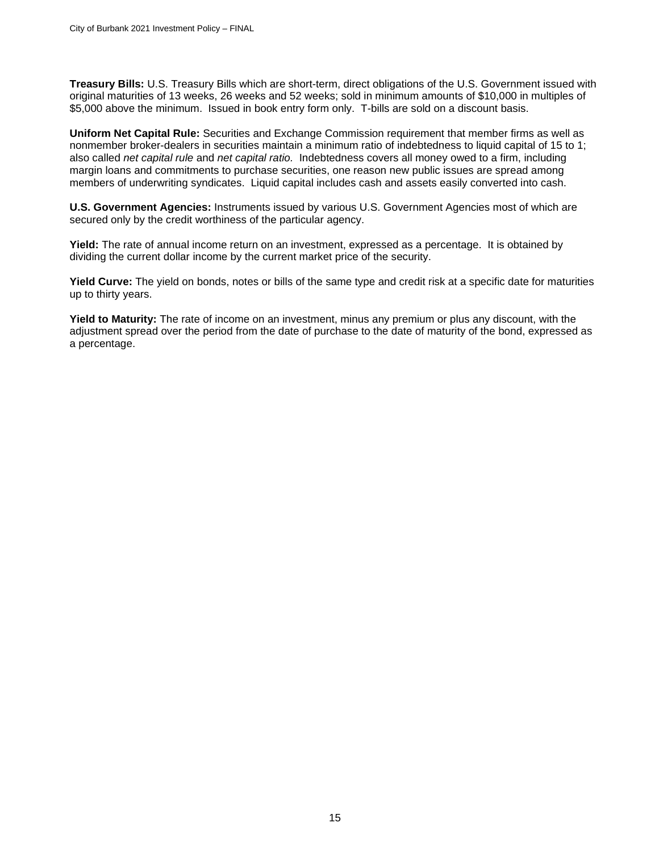**Treasury Bills:** U.S. Treasury Bills which are short-term, direct obligations of the U.S. Government issued with original maturities of 13 weeks, 26 weeks and 52 weeks; sold in minimum amounts of \$10,000 in multiples of \$5,000 above the minimum. Issued in book entry form only. T-bills are sold on a discount basis.

**Uniform Net Capital Rule:** Securities and Exchange Commission requirement that member firms as well as nonmember broker-dealers in securities maintain a minimum ratio of indebtedness to liquid capital of 15 to 1; also called *net capital rule* and *net capital ratio.* Indebtedness covers all money owed to a firm, including margin loans and commitments to purchase securities, one reason new public issues are spread among members of underwriting syndicates. Liquid capital includes cash and assets easily converted into cash.

**U.S. Government Agencies:** Instruments issued by various U.S. Government Agencies most of which are secured only by the credit worthiness of the particular agency.

**Yield:** The rate of annual income return on an investment, expressed as a percentage. It is obtained by dividing the current dollar income by the current market price of the security.

**Yield Curve:** The yield on bonds, notes or bills of the same type and credit risk at a specific date for maturities up to thirty years.

**Yield to Maturity:** The rate of income on an investment, minus any premium or plus any discount, with the adjustment spread over the period from the date of purchase to the date of maturity of the bond, expressed as a percentage.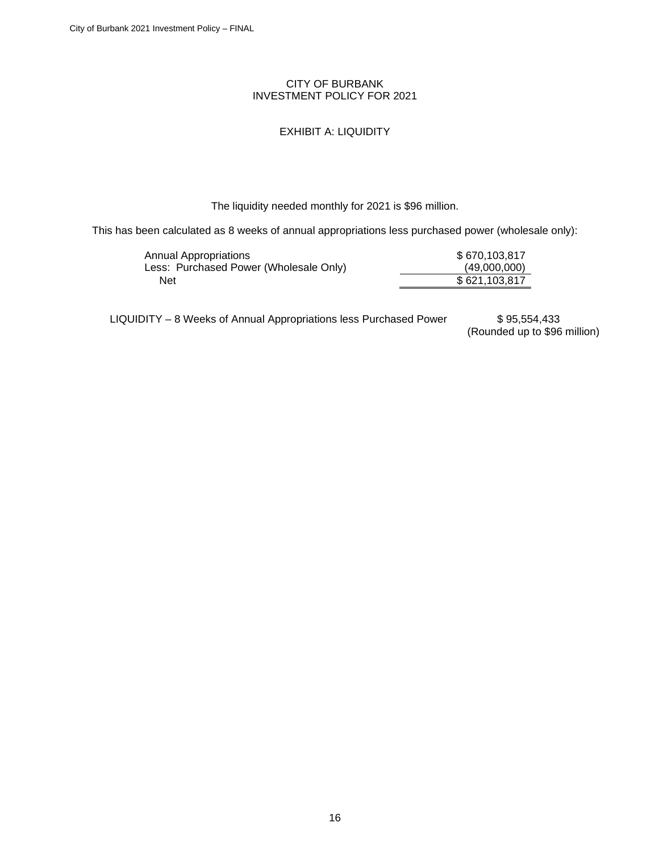#### CITY OF BURBANK INVESTMENT POLICY FOR 2021

### EXHIBIT A: LIQUIDITY

The liquidity needed monthly for 2021 is \$96 million.

<span id="page-17-0"></span>This has been calculated as 8 weeks of annual appropriations less purchased power (wholesale only):

| Annual Appropriations                  | \$670,103,817 |
|----------------------------------------|---------------|
| Less: Purchased Power (Wholesale Only) | (49,000,000)  |
| Net                                    | \$621,103,817 |

LIQUIDITY - 8 Weeks of Annual Appropriations less Purchased Power \$ 95,554,433

(Rounded up to \$96 million)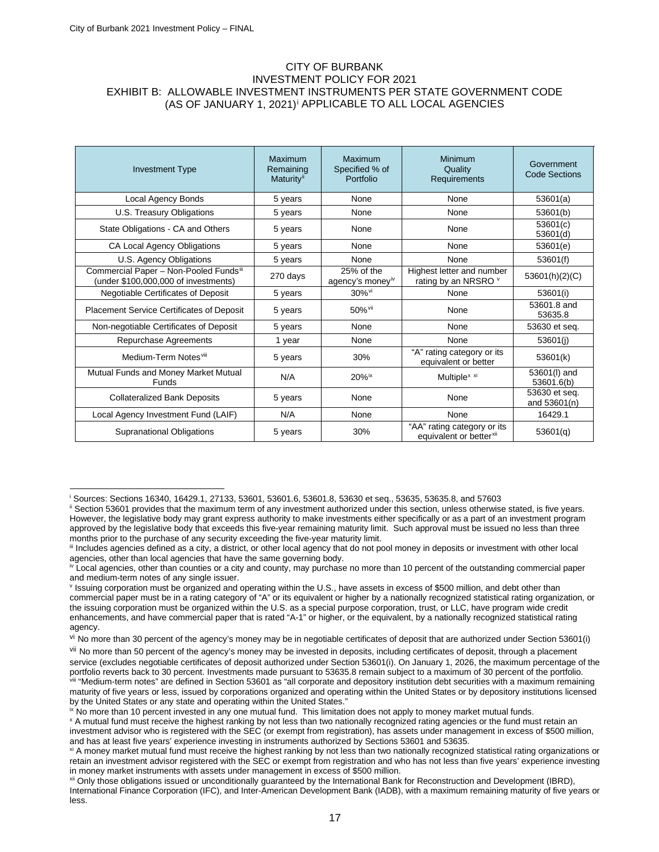#### CITY OF BURBANK INVESTMENT POLICY FOR 2021 EXHIBIT B: ALLOWABLE INVESTMENT INSTRUMENTS PER STATE GOVERNMENT CODE (AS OF JANUARY 1, 2021)<sup>[i](#page-19-1)</sup> APPLICABLE TO ALL LOCAL AGENCIES

| <b>Investment Type</b>                                                         | Maximum<br>Remaining<br><b>Maturity</b> <sup>ii</sup> | Maximum<br>Specified % of<br>Portfolio | <b>Minimum</b><br>Quality<br><b>Requirements</b>                   | Government<br><b>Code Sections</b> |
|--------------------------------------------------------------------------------|-------------------------------------------------------|----------------------------------------|--------------------------------------------------------------------|------------------------------------|
| Local Agency Bonds                                                             | 5 years                                               | None                                   | None                                                               | 53601(a)                           |
| U.S. Treasury Obligations                                                      | 5 years                                               | None                                   | None                                                               | 53601(b)                           |
| State Obligations - CA and Others                                              | 5 years                                               | None                                   | None                                                               | 53601(c)<br>53601(d)               |
| CA Local Agency Obligations                                                    | 5 years                                               | None                                   | None                                                               | 53601(e)                           |
| U.S. Agency Obligations                                                        | 5 years                                               | None                                   | None                                                               | 53601(f)                           |
| Commercial Paper - Non-Pooled Fundsiii<br>(under \$100,000,000 of investments) | 270 days                                              | 25% of the<br>agency's moneyiv         | Highest letter and number<br>rating by an NRSRO v                  | 53601(h)(2)(C)                     |
| Negotiable Certificates of Deposit                                             | 5 years                                               | 30% <sup>vi</sup>                      | None                                                               | 53601(i)                           |
| <b>Placement Service Certificates of Deposit</b>                               | 5 years                                               | 50% vii                                | None                                                               | 53601.8 and<br>53635.8             |
| Non-negotiable Certificates of Deposit                                         | 5 years                                               | None                                   | None                                                               | 53630 et seq.                      |
| Repurchase Agreements                                                          | 1 year                                                | None                                   | None                                                               | 53601(i)                           |
| Medium-Term Notesvill                                                          | 5 years                                               | 30%                                    | "A" rating category or its<br>equivalent or better                 | 53601(k)                           |
| Mutual Funds and Money Market Mutual<br>Funds                                  | N/A                                                   | $20\%$ <sup>ix</sup>                   | Multiple <sup>x xi</sup>                                           | 53601(I) and<br>53601.6(b)         |
| <b>Collateralized Bank Deposits</b>                                            | 5 years                                               | None                                   | None                                                               | 53630 et seq.<br>and 53601(n)      |
| Local Agency Investment Fund (LAIF)                                            | N/A                                                   | None                                   | None                                                               | 16429.1                            |
| <b>Supranational Obligations</b>                                               | 5 years                                               | 30%                                    | "AA" rating category or its<br>equivalent or better <sup>xii</sup> | 53601(q)                           |

<sup>i</sup> Sources: Sections 16340, 16429.1, 27133, 53601, 53601.6, 53601.8, 53630 et seq., 53635, 53635.8, and 57603

ii Section 53601 provides that the maximum term of any investment authorized under this section, unless otherwise stated, is five years. However, the legislative body may grant express authority to make investments either specifically or as a part of an investment program approved by the legislative body that exceeds this five-year remaining maturity limit. Such approval must be issued no less than three months prior to the purchase of any security exceeding the five-year maturity limit.

III Includes agencies defined as a city, a district, or other local agency that do not pool money in deposits or investment with other local agencies, other than local agencies that have the same governing body.

<sup>&</sup>lt;sup>iv</sup> Local agencies, other than counties or a city and county, may purchase no more than 10 percent of the outstanding commercial paper and medium-term notes of any single issuer.

<sup>v</sup> Issuing corporation must be organized and operating within the U.S., have assets in excess of \$500 million, and debt other than commercial paper must be in a rating category of "A" or its equivalent or higher by a nationally recognized statistical rating organization, or the issuing corporation must be organized within the U.S. as a special purpose corporation, trust, or LLC, have program wide credit enhancements, and have commercial paper that is rated "A-1" or higher, or the equivalent, by a nationally recognized statistical rating agency.

vi No more than 30 percent of the agency's money may be in negotiable certificates of deposit that are authorized under Section 53601(i)

vii No more than 50 percent of the agency's money may be invested in deposits, including certificates of deposit, through a placement service (excludes negotiable certificates of deposit authorized under Section 53601(i). On January 1, 2026, the maximum percentage of the portfolio reverts back to 30 percent. Investments made pursuant to 53635.8 remain subject to a maximum of 30 percent of the portfolio. <sup>4</sup>Medium-term notes" are defined in Section 53601 as "all corporate and depository institution debt securities with a maximum remaining maturity of five years or less, issued by corporations organized and operating within the United States or by depository institutions licensed by the United States or any state and operating within the United States."

<sup>&</sup>lt;sup>ix</sup> No more than 10 percent invested in any one mutual fund. This limitation does not apply to money market mutual funds.

<sup>x</sup> A mutual fund must receive the highest ranking by not less than two nationally recognized rating agencies or the fund must retain an investment advisor who is registered with the SEC (or exempt from registration), has assets under management in excess of \$500 million, and has at least five years' experience investing in instruments authorized by Sections 53601 and 53635.

xi A money market mutual fund must receive the highest ranking by not less than two nationally recognized statistical rating organizations or retain an investment advisor registered with the SEC or exempt from registration and who has not less than five years' experience investing in money market instruments with assets under management in excess of \$500 million.

xii Only those obligations issued or unconditionally guaranteed by the International Bank for Reconstruction and Development (IBRD), International Finance Corporation (IFC), and Inter-American Development Bank (IADB), with a maximum remaining maturity of five years or less.